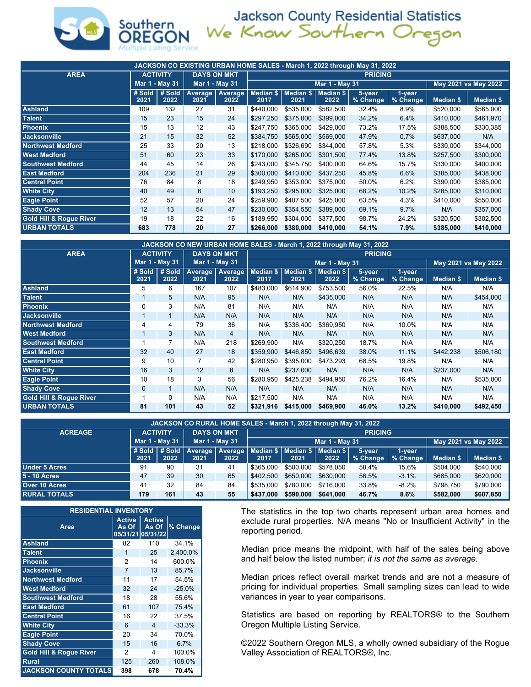

Jackson County Residential Statistics<br>We Know Southern Oregon

| JACKSON CO EXISTING URBAN HOME SALES - March 1, 2022 through May 31, 2022 |                |                                  |      |                             |                   |                |                               |                      |                    |           |                  |  |  |  |
|---------------------------------------------------------------------------|----------------|----------------------------------|------|-----------------------------|-------------------|----------------|-------------------------------|----------------------|--------------------|-----------|------------------|--|--|--|
| <b>AREA</b>                                                               |                | <b>ACTIVITY</b>                  |      | <b>DAYS ON MKT</b>          | <b>PRICING</b>    |                |                               |                      |                    |           |                  |  |  |  |
|                                                                           |                | Mar 1 - May 31<br>Mar 1 - May 31 |      |                             |                   | Mar 1 - May 31 |                               | May 2021 vs May 2022 |                    |           |                  |  |  |  |
|                                                                           | # Sold<br>2021 | #Sold<br>2022                    | 2021 | Average   Average  <br>2022 | Median \$<br>2017 | 2021           | Median \$   Median \$<br>2022 | 5-year<br>% Change   | 1-year<br>% Change | Median \$ | <b>Median \$</b> |  |  |  |
| <b>Ashland</b>                                                            | 109            | 132                              | 27   | 31                          | \$440.000         | \$535,000      | \$582,500                     | 32.4%                | 8.9%               | \$520,000 | \$565,000        |  |  |  |
| <b>Talent</b>                                                             | 15             | 23                               | 15   | 24                          | \$297.250         | \$375,000      | \$399,000                     | 34.2%                | 6.4%               | \$410,000 | \$461,970        |  |  |  |
| <b>Phoenix</b>                                                            | 15             | 13                               | 12   | 43                          | \$247.750         | \$365,000      | \$429,000                     | 73.2%                | 17.5%              | \$388,500 | \$330,385        |  |  |  |
| <b>Jacksonville</b>                                                       | 21             | 15                               | 32   | 52                          | \$384,750         | \$565,000      | \$569,000                     | 47.9%                | 0.7%               | \$637,000 | N/A              |  |  |  |
| <b>Northwest Medford</b>                                                  | 25             | 33                               | 20   | 13                          | \$218,000         | \$326.690      | \$344,000                     | 57.8%                | 5.3%               | \$330,000 | \$344,000        |  |  |  |
| <b>West Medford</b>                                                       | 51             | 60                               | 23   | 33                          | \$170,000         | \$265,000      | \$301.500                     | 77.4%                | 13.8%              | \$257.500 | \$300,000        |  |  |  |
| <b>Southwest Medford</b>                                                  | 44             | 45                               | 14   | 26                          | \$243.000         | \$345.750      | \$400,000                     | 64.6%                | 15.7%              | \$330,000 | \$400,000        |  |  |  |
| <b>East Medford</b>                                                       | 204            | 236                              | 21   | 29                          | \$300,000         | \$410,000      | \$437,250                     | 45.8%                | 6.6%               | \$385,000 | \$438,000        |  |  |  |
| <b>Central Point</b>                                                      | 76             | 84                               | 8    | 18                          | \$249.950         | \$353,000      | \$375,000                     | 50.0%                | 6.2%               | \$390,000 | \$385,000        |  |  |  |
| <b>White City</b>                                                         | 40             | 49                               | 6    | 10                          | \$193.250         | \$295,000      | \$325,000                     | 68.2%                | 10.2%              | \$285,000 | \$310,000        |  |  |  |
| <b>Eagle Point</b>                                                        | 52             | 57                               | 20   | 24                          | \$259.900         | \$407.500      | \$425,000                     | 63.5%                | 4.3%               | \$410,000 | \$550,000        |  |  |  |
| <b>Shady Cove</b>                                                         | 12             | 13                               | 54   | 47                          | \$230,000         | \$354.550      | \$389,000                     | 69.1%                | 9.7%               | N/A       | \$357,000        |  |  |  |
| <b>Gold Hill &amp; Rogue River</b>                                        | 19             | 18                               | 22   | 16                          | \$189.950         | \$304,000      | \$377,500                     | 98.7%                | 24.2%              | \$320,500 | \$302,500        |  |  |  |
| <b>URBAN TOTALS</b>                                                       | 683            | 778                              | 20   | 27                          | \$266,000         | \$380,000      | \$410,000                     | 54.1%                | $7.9\%$            | \$385,000 | \$410,000        |  |  |  |

| JACKSON CO NEW URBAN HOME SALES - March 1, 2022 through May 31, 2022 |                |                 |                 |                        |                |                                           |           |                      |                    |                  |                  |  |  |  |
|----------------------------------------------------------------------|----------------|-----------------|-----------------|------------------------|----------------|-------------------------------------------|-----------|----------------------|--------------------|------------------|------------------|--|--|--|
| <b>AREA</b>                                                          |                | <b>ACTIVITY</b> |                 | <b>DAYS ON MKT</b>     | <b>PRICING</b> |                                           |           |                      |                    |                  |                  |  |  |  |
|                                                                      |                | Mar 1 - May 31  | Mar 1 - May 31  |                        |                | Mar 1 - May 31                            |           | May 2021 vs May 2022 |                    |                  |                  |  |  |  |
|                                                                      | # Sold<br>2021 | # Sold<br>2022  | Average<br>2021 | <b>Average</b><br>2022 | 2017           | Median \$   Median \$   Median \$<br>2021 | 2022      | 5-year<br>% Change   | 1-year<br>% Change | <b>Median \$</b> | <b>Median \$</b> |  |  |  |
| <b>Ashland</b>                                                       | 5              | 6               | 167             | 107                    | \$483,000      | \$614,900                                 | \$753,500 | 56.0%                | 22.5%              | N/A              | N/A              |  |  |  |
| <b>Talent</b>                                                        |                | 5               | N/A             | 95                     | N/A            | N/A                                       | \$435,000 | N/A                  | N/A                | N/A              | \$454,000        |  |  |  |
| <b>Phoenix</b>                                                       | $\mathbf{0}$   | 3               | N/A             | 81                     | N/A            | N/A                                       | N/A       | N/A                  | N/A                | N/A              | N/A              |  |  |  |
| <b>Jacksonville</b>                                                  |                |                 | N/A             | N/A                    | N/A            | N/A                                       | N/A       | N/A                  | N/A                | N/A              | N/A              |  |  |  |
| <b>Northwest Medford</b>                                             | 4              | 4               | 79              | 36                     | N/A            | \$336,400                                 | \$369,950 | N/A                  | 10.0%              | N/A              | N/A              |  |  |  |
| <b>West Medford</b>                                                  |                | 3               | N/A             | 4                      | N/A            | N/A                                       | N/A       | N/A                  | N/A                | N/A              | N/A              |  |  |  |
| <b>Southwest Medford</b>                                             |                |                 | N/A             | 218                    | \$269,900      | N/A                                       | \$320,250 | 18.7%                | N/A                | N/A              | N/A              |  |  |  |
| <b>East Medford</b>                                                  | 32             | 40              | 27              | 18                     | \$359.900      | \$446,850                                 | \$496,639 | 38.0%                | 11.1%              | \$442,238        | \$506,180        |  |  |  |
| <b>Central Point</b>                                                 | 9              | 10              | 7               | 42                     | \$280.950      | \$395.000                                 | \$473.293 | 68.5%                | 19.8%              | N/A              | N/A              |  |  |  |
| <b>White City</b>                                                    | 16             | 3               | 12              | 8                      | N/A            | \$237,000                                 | N/A       | N/A                  | N/A                | \$237,000        | N/A              |  |  |  |
| <b>Eagle Point</b>                                                   | 10             | 18              | 3               | 56                     | \$280.950      | \$425,238                                 | \$494.950 | 76.2%                | 16.4%              | N/A              | \$535,000        |  |  |  |
| <b>Shady Cove</b>                                                    | $\mathbf{0}$   |                 | N/A             | N/A                    | N/A            | N/A                                       | N/A       | N/A                  | N/A                | N/A              | N/A              |  |  |  |
| <b>Gold Hill &amp; Rogue River</b>                                   |                | 0               | N/A             | N/A                    | \$217.500      | N/A                                       | N/A       | N/A                  | N/A                | N/A              | N/A              |  |  |  |
| <b>URBAN TOTALS</b>                                                  | 81             | 101             | 43              | 52                     | \$321.916      | \$415,000                                 | \$469,900 | 46.0%                | 13.2%              | \$410,000        | \$492,450        |  |  |  |

| JACKSON CO RURAL HOME SALES - March 1, 2022 through May 31, 2022 |                 |                                         |      |      |                                                                                   |           |                |                    |                      |           |                  |  |  |  |  |  |
|------------------------------------------------------------------|-----------------|-----------------------------------------|------|------|-----------------------------------------------------------------------------------|-----------|----------------|--------------------|----------------------|-----------|------------------|--|--|--|--|--|
| <b>ACREAGE</b>                                                   | <b>ACTIVITY</b> |                                         |      |      | <b>DAYS ON MKT</b><br><b>PRICING</b>                                              |           |                |                    |                      |           |                  |  |  |  |  |  |
|                                                                  |                 | <b>Mar 1 - May 31</b><br>Mar 1 - May 31 |      |      |                                                                                   |           | Mar 1 - May 31 |                    | May 2021 vs May 2022 |           |                  |  |  |  |  |  |
|                                                                  | 2021            | 2022                                    | 2021 | 2022 | # Sold   # Sold   Average   Average   Median \$   Median \$   Median \$  <br>2017 | 2021      | 2022           | 5-year<br>% Change | 1-vear<br>% Change   | Median \$ | <b>Median \$</b> |  |  |  |  |  |
| <b>Under 5 Acres</b>                                             | 91              | 90                                      | 31   | 41   | \$365,000                                                                         | \$500.000 | \$578.050      | 58.4%              | 15.6%                | \$504.000 | \$540,000        |  |  |  |  |  |
| 5 - 10 Acres                                                     | 47              | 39                                      | 30   | 65   | \$402.500                                                                         | \$650,000 | \$630,000      | 56.5%              | $-3.1%$              | \$685,000 | \$620,000        |  |  |  |  |  |
| Over 10 Acres                                                    | 41              | 32                                      | 84   | 84   | \$535.000                                                                         | \$780.000 | \$716.000      | 33.8%              | $-8.2%$              | \$798.750 | \$790,000        |  |  |  |  |  |
| <b>RURAL TOTALS</b>                                              | 179             | 161                                     | 43   | 55   | \$437,000                                                                         | \$590,000 | \$641,000      | 46.7%              | 8.6%                 | \$582,000 | \$607,850        |  |  |  |  |  |

| <b>RESIDENTIAL INVENTORY</b>       |                                             |                        |          |  |  |  |  |  |  |  |  |
|------------------------------------|---------------------------------------------|------------------------|----------|--|--|--|--|--|--|--|--|
| Area                               | <b>Active</b><br>As Of<br>05/31/21 05/31/22 | <b>Active</b><br>As Of | % Change |  |  |  |  |  |  |  |  |
| <b>Ashland</b>                     | 82                                          | 110                    | 34.1%    |  |  |  |  |  |  |  |  |
| <b>Talent</b>                      | 1                                           | 25                     | 2,400.0% |  |  |  |  |  |  |  |  |
| <b>Phoenix</b>                     | $\overline{2}$                              | 14                     | 600.0%   |  |  |  |  |  |  |  |  |
| <b>Jacksonville</b>                | $\overline{7}$                              | 13                     | 85.7%    |  |  |  |  |  |  |  |  |
| <b>Northwest Medford</b>           | 11                                          | 17                     | 54.5%    |  |  |  |  |  |  |  |  |
| <b>West Medford</b>                | 32                                          | 24                     | $-25.0%$ |  |  |  |  |  |  |  |  |
| <b>Southwest Medford</b>           | 18                                          | 28                     | 55.6%    |  |  |  |  |  |  |  |  |
| <b>East Medford</b>                | 61                                          | 107                    | 75.4%    |  |  |  |  |  |  |  |  |
| <b>Central Point</b>               | 16                                          | 22                     | 37.5%    |  |  |  |  |  |  |  |  |
| <b>White City</b>                  | 6                                           | 4                      | $-33.3%$ |  |  |  |  |  |  |  |  |
| <b>Eagle Point</b>                 | 20                                          | 34                     | 70.0%    |  |  |  |  |  |  |  |  |
| <b>Shady Cove</b>                  | 15                                          | 16                     | 6.7%     |  |  |  |  |  |  |  |  |
| <b>Gold Hill &amp; Roque River</b> | 2                                           | 4                      | 100.0%   |  |  |  |  |  |  |  |  |
| <b>Rural</b>                       | 125                                         | 260                    | 108.0%   |  |  |  |  |  |  |  |  |
| <b>JACKSON COUNTY TOTALS</b>       | 398                                         | 678                    | 70.4%    |  |  |  |  |  |  |  |  |

The statistics in the top two charts represent urban area homes and exclude rural properties. N/A means "No or Insufficient Activity" in the reporting period.

Median price means the midpoint, with half of the sales being above and half below the listed number; *it is not the same as average.*

Median prices reflect overall market trends and are not a measure of pricing for individual properties. Small sampling sizes can lead to wide variances in year to year comparisons.

Statistics are based on reporting by REALTORS® to the Southern Oregon Multiple Listing Service.

©2022 Southern Oregon MLS, a wholly owned subsidiary of the Rogue Valley Association of REALTORS®, Inc.